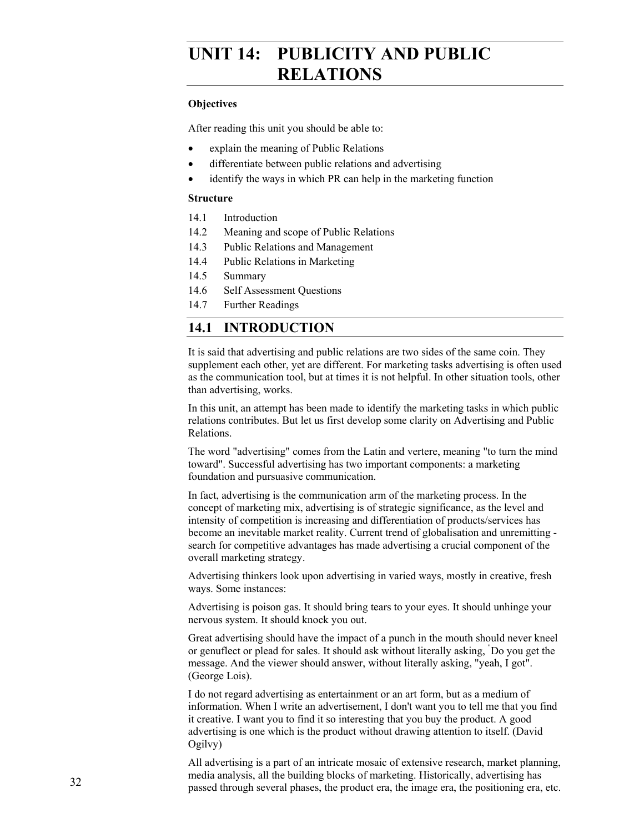## **UNIT 14: PUBLICITY AND PUBLIC RELATIONS**

#### **Objectives**

After reading this unit you should be able to:

- explain the meaning of Public Relations
- differentiate between public relations and advertising
- identify the ways in which PR can help in the marketing function

#### **Structure**

- 14.1 Introduction
- 14.2 Meaning and scope of Public Relations
- 14.3 Public Relations and Management
- 14.4 Public Relations in Marketing
- 14.5 Summary
- 14.6 Self Assessment Questions
- 14.7 Further Readings

### **14.1 INTRODUCTION**

It is said that advertising and public relations are two sides of the same coin. They supplement each other, yet are different. For marketing tasks advertising is often used as the communication tool, but at times it is not helpful. In other situation tools, other than advertising, works.

In this unit, an attempt has been made to identify the marketing tasks in which public relations contributes. But let us first develop some clarity on Advertising and Public Relations.

The word "advertising" comes from the Latin and vertere, meaning "to turn the mind toward". Successful advertising has two important components: a marketing foundation and pursuasive communication.

In fact, advertising is the communication arm of the marketing process. In the concept of marketing mix, advertising is of strategic significance, as the level and intensity of competition is increasing and differentiation of products/services has become an inevitable market reality. Current trend of globalisation and unremitting search for competitive advantages has made advertising a crucial component of the overall marketing strategy.

Advertising thinkers look upon advertising in varied ways, mostly in creative, fresh ways. Some instances:

Advertising is poison gas. It should bring tears to your eyes. It should unhinge your nervous system. It should knock you out.

Great advertising should have the impact of a punch in the mouth should never kneel or genuflect or plead for sales. It should ask without literally asking, " Do you get the message. And the viewer should answer, without literally asking, "yeah, I got". (George Lois).

I do not regard advertising as entertainment or an art form, but as a medium of information. When I write an advertisement, I don't want you to tell me that you find it creative. I want you to find it so interesting that you buy the product. A good advertising is one which is the product without drawing attention to itself. (David Ogilvy)

All advertising is a part of an intricate mosaic of extensive research, market planning, media analysis, all the building blocks of marketing. Historically, advertising has passed through several phases, the product era, the image era, the positioning era, etc.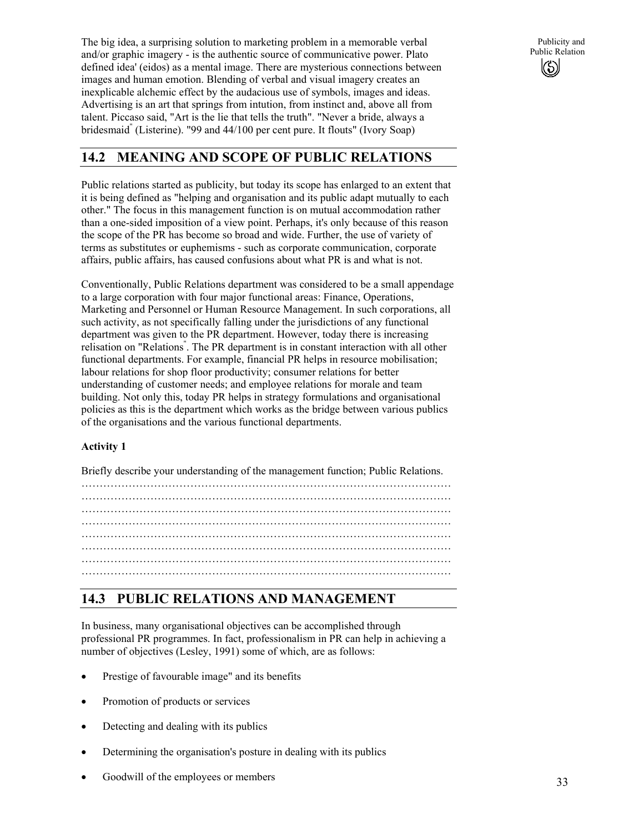The big idea, a surprising solution to marketing problem in a memorable verbal and/or graphic imagery - is the authentic source of communicative power. Plato defined idea' (eidos) as a mental image. There are mysterious connections between images and human emotion. Blending of verbal and visual imagery creates an inexplicable alchemic effect by the audacious use of symbols, images and ideas. Advertising is an art that springs from intution, from instinct and, above all from talent. Piccaso said, "Art is the lie that tells the truth". "Never a bride, always a bridesmaid" (Listerine). "99 and 44/100 per cent pure. It flouts" (Ivory Soap)

Publicity and Public Relation  $(\mathcal{S})$ 

## **14.2 MEANING AND SCOPE OF PUBLIC RELATIONS**

Public relations started as publicity, but today its scope has enlarged to an extent that it is being defined as "helping and organisation and its public adapt mutually to each other." The focus in this management function is on mutual accommodation rather than a one-sided imposition of a view point. Perhaps, it's only because of this reason the scope of the PR has become so broad and wide. Further, the use of variety of terms as substitutes or euphemisms - such as corporate communication, corporate affairs, public affairs, has caused confusions about what PR is and what is not.

Conventionally, Public Relations department was considered to be a small appendage to a large corporation with four major functional areas: Finance, Operations, Marketing and Personnel or Human Resource Management. In such corporations, all such activity, as not specifically falling under the jurisdictions of any functional department was given to the PR department. However, today there is increasing relisation on "Relations" . The PR department is in constant interaction with all other functional departments. For example, financial PR helps in resource mobilisation; labour relations for shop floor productivity; consumer relations for better understanding of customer needs; and employee relations for morale and team building. Not only this, today PR helps in strategy formulations and organisational policies as this is the department which works as the bridge between various publics of the organisations and the various functional departments.

#### **Activity 1**

Briefly describe your understanding of the management function; Public Relations.

………………………………………………………………………………………… ………………………………………………………………………………………… ………………………………………………………………………………………… ………………………………………………………………………………………… ………………………………………………………………………………………… ………………………………………………………………………………………… …………………………………………………………………………………………

## **14.3 PUBLIC RELATIONS AND MANAGEMENT**

In business, many organisational objectives can be accomplished through professional PR programmes. In fact, professionalism in PR can help in achieving a number of objectives (Lesley, 1991) some of which, are as follows:

- Prestige of favourable image" and its benefits
- Promotion of products or services
- Detecting and dealing with its publics
- Determining the organisation's posture in dealing with its publics
- Goodwill of the employees or members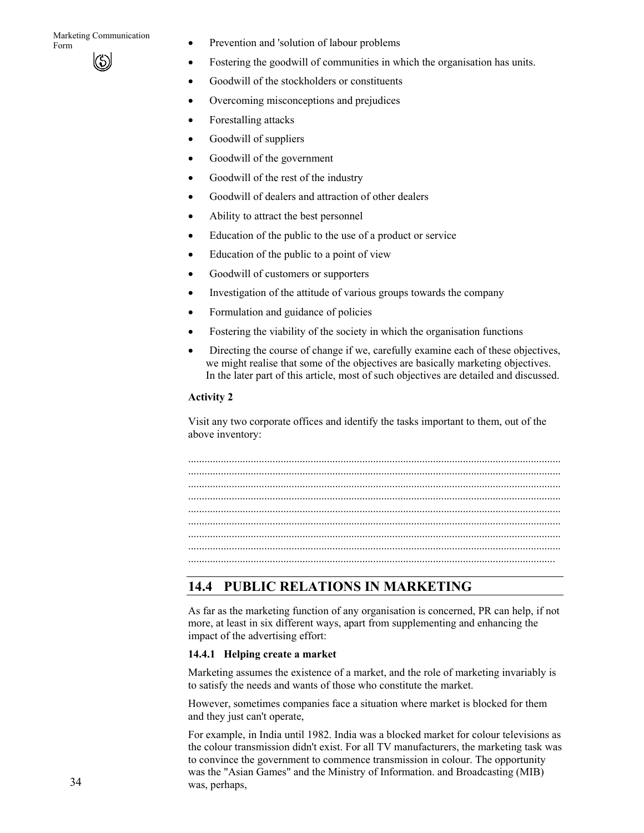- Form **Form •** Prevention and 'solution of labour problems
	- Fostering the goodwill of communities in which the organisation has units.
	- Goodwill of the stockholders or constituents
	- Overcoming misconceptions and prejudices
	- Forestalling attacks
	- Goodwill of suppliers
	- Goodwill of the government
	- Goodwill of the rest of the industry
	- Goodwill of dealers and attraction of other dealers
	- Ability to attract the best personnel
	- Education of the public to the use of a product or service
	- Education of the public to a point of view
	- Goodwill of customers or supporters
	- Investigation of the attitude of various groups towards the company
	- Formulation and guidance of policies
	- Fostering the viability of the society in which the organisation functions
	- Directing the course of change if we, carefully examine each of these objectives, we might realise that some of the objectives are basically marketing objectives. In the later part of this article, most of such objectives are detailed and discussed.

#### **Activity 2**

Visit any two corporate offices and identify the tasks important to them, out of the above inventory:

......................................................................................................................................... ......................................................................................................................................... ......................................................................................................................................... ......................................................................................................................................... .......................................................................................................................................

## **14.4 PUBLIC RELATIONS IN MARKETING**

As far as the marketing function of any organisation is concerned, PR can help, if not more, at least in six different ways, apart from supplementing and enhancing the impact of the advertising effort:

#### **14.4.1 Helping create a market**

Marketing assumes the existence of a market, and the role of marketing invariably is to satisfy the needs and wants of those who constitute the market.

However, sometimes companies face a situation where market is blocked for them and they just can't operate,

For example, in India until 1982. India was a blocked market for colour televisions as the colour transmission didn't exist. For all TV manufacturers, the marketing task was to convince the government to commence transmission in colour. The opportunity was the "Asian Games" and the Ministry of Information. and Broadcasting (MIB) was, perhaps,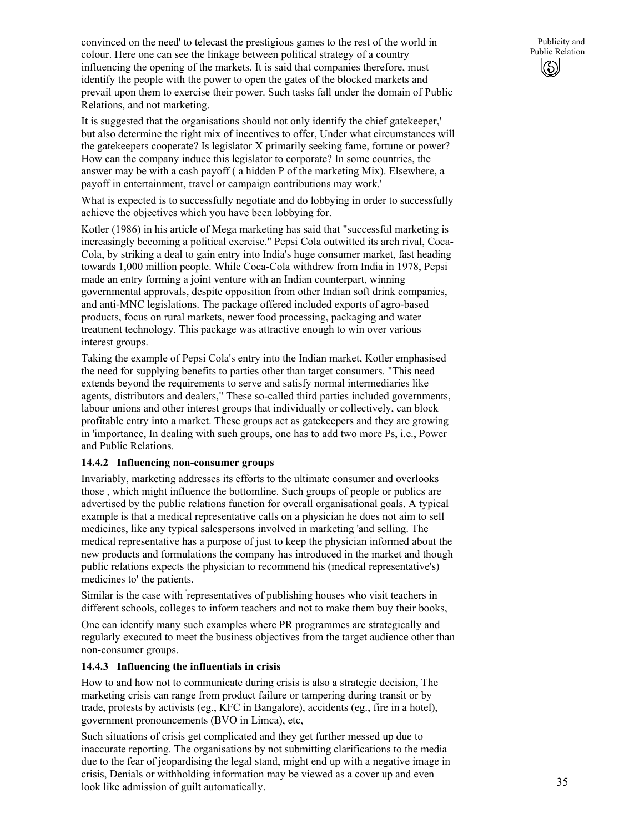convinced on the need' to telecast the prestigious games to the rest of the world in colour. Here one can see the linkage between political strategy of a country influencing the opening of the markets. It is said that companies therefore, must identify the people with the power to open the gates of the blocked markets and prevail upon them to exercise their power. Such tasks fall under the domain of Public Relations, and not marketing.

It is suggested that the organisations should not only identify the chief gatekeeper,' but also determine the right mix of incentives to offer, Under what circumstances will the gatekeepers cooperate? Is legislator X primarily seeking fame, fortune or power? How can the company induce this legislator to corporate? In some countries, the answer may be with a cash payoff ( a hidden P of the marketing Mix). Elsewhere, a payoff in entertainment, travel or campaign contributions may work.'

What is expected is to successfully negotiate and do lobbying in order to successfully achieve the objectives which you have been lobbying for.

Kotler (1986) in his article of Mega marketing has said that "successful marketing is increasingly becoming a political exercise." Pepsi Cola outwitted its arch rival, Coca-Cola, by striking a deal to gain entry into India's huge consumer market, fast heading towards 1,000 million people. While Coca-Cola withdrew from India in 1978, Pepsi made an entry forming a joint venture with an Indian counterpart, winning governmental approvals, despite opposition from other Indian soft drink companies, and anti-MNC legislations. The package offered included exports of agro-based products, focus on rural markets, newer food processing, packaging and water treatment technology. This package was attractive enough to win over various interest groups.

Taking the example of Pepsi Cola's entry into the Indian market, Kotler emphasised the need for supplying benefits to parties other than target consumers. "This need extends beyond the requirements to serve and satisfy normal intermediaries like agents, distributors and dealers," These so-called third parties included governments, labour unions and other interest groups that individually or collectively, can block profitable entry into a market. These groups act as gatekeepers and they are growing in 'importance, In dealing with such groups, one has to add two more Ps, i.e., Power and Public Relations.

#### **14.4.2 Influencing non-consumer groups**

Invariably, marketing addresses its efforts to the ultimate consumer and overlooks those , which might influence the bottomline. Such groups of people or publics are advertised by the public relations function for overall organisational goals. A typical example is that a medical representative calls on a physician he does not aim to sell medicines, like any typical salespersons involved in marketing 'and selling. The medical representative has a purpose of just to keep the physician informed about the new products and formulations the company has introduced in the market and though public relations expects the physician to recommend his (medical representative's) medicines to' the patients.

Similar is the case with ' representatives of publishing houses who visit teachers in different schools, colleges to inform teachers and not to make them buy their books,

One can identify many such examples where PR programmes are strategically and regularly executed to meet the business objectives from the target audience other than non-consumer groups.

#### **14.4.3 Influencing the influentials in crisis**

How to and how not to communicate during crisis is also a strategic decision, The marketing crisis can range from product failure or tampering during transit or by trade, protests by activists (eg., KFC in Bangalore), accidents (eg., fire in a hotel), government pronouncements (BVO in Limca), etc,

Such situations of crisis get complicated and they get further messed up due to inaccurate reporting. The organisations by not submitting clarifications to the media due to the fear of jeopardising the legal stand, might end up with a negative image in crisis, Denials or withholding information may be viewed as a cover up and even look like admission of guilt automatically.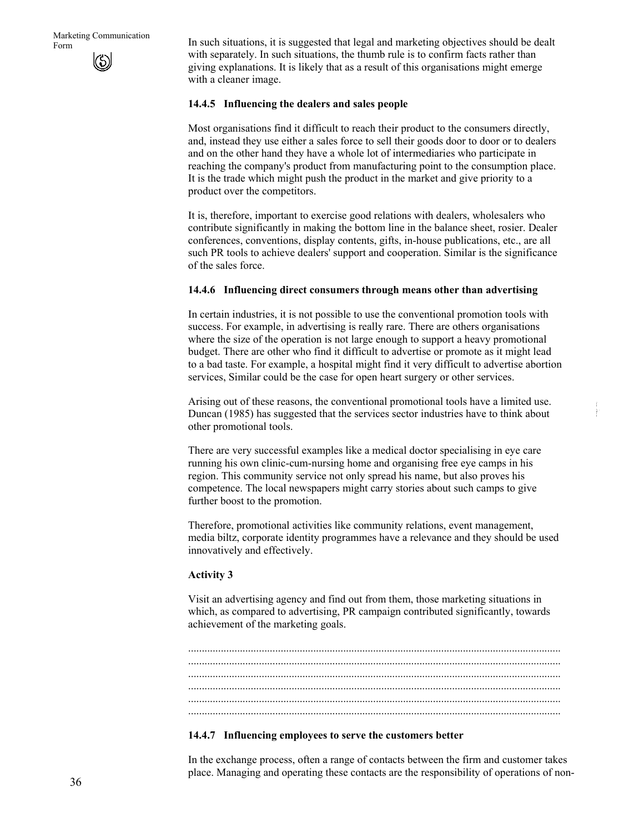Form In such situations, it is suggested that legal and marketing objectives should be dealt with separately. In such situations, the thumb rule is to confirm facts rather than giving explanations. It is likely that as a result of this organisations might emerge with a cleaner image.

#### **14.4.5 Influencing the dealers and sales people**

Most organisations find it difficult to reach their product to the consumers directly, and, instead they use either a sales force to sell their goods door to door or to dealers and on the other hand they have a whole lot of intermediaries who participate in reaching the company's product from manufacturing point to the consumption place. It is the trade which might push the product in the market and give priority to a product over the competitors.

It is, therefore, important to exercise good relations with dealers, wholesalers who contribute significantly in making the bottom line in the balance sheet, rosier. Dealer conferences, conventions, display contents, gifts, in-house publications, etc., are all such PR tools to achieve dealers' support and cooperation. Similar is the significance of the sales force.

#### **14.4.6 Influencing direct consumers through means other than advertising**

In certain industries, it is not possible to use the conventional promotion tools with success. For example, in advertising is really rare. There are others organisations where the size of the operation is not large enough to support a heavy promotional budget. There are other who find it difficult to advertise or promote as it might lead to a bad taste. For example, a hospital might find it very difficult to advertise abortion services, Similar could be the case for open heart surgery or other services.

Arising out of these reasons, the conventional promotional tools have a limited use. Duncan (1985) has suggested that the services sector industries have to think about other promotional tools.

There are very successful examples like a medical doctor specialising in eye care running his own clinic-cum-nursing home and organising free eye camps in his region. This community service not only spread his name, but also proves his competence. The local newspapers might carry stories about such camps to give further boost to the promotion.

Therefore, promotional activities like community relations, event management, media biltz, corporate identity programmes have a relevance and they should be used innovatively and effectively.

#### **Activity 3**

Visit an advertising agency and find out from them, those marketing situations in which, as compared to advertising, PR campaign contributed significantly, towards achievement of the marketing goals.

......................................................................................................................................... ......................................................................................................................................... ......................................................................................................................................... ......................................................................................................................................... .........................................................................................................................................

#### **14.4.7 Influencing employees to serve the customers better**

In the exchange process, often a range of contacts between the firm and customer takes place. Managing and operating these contacts are the responsibility of operations of non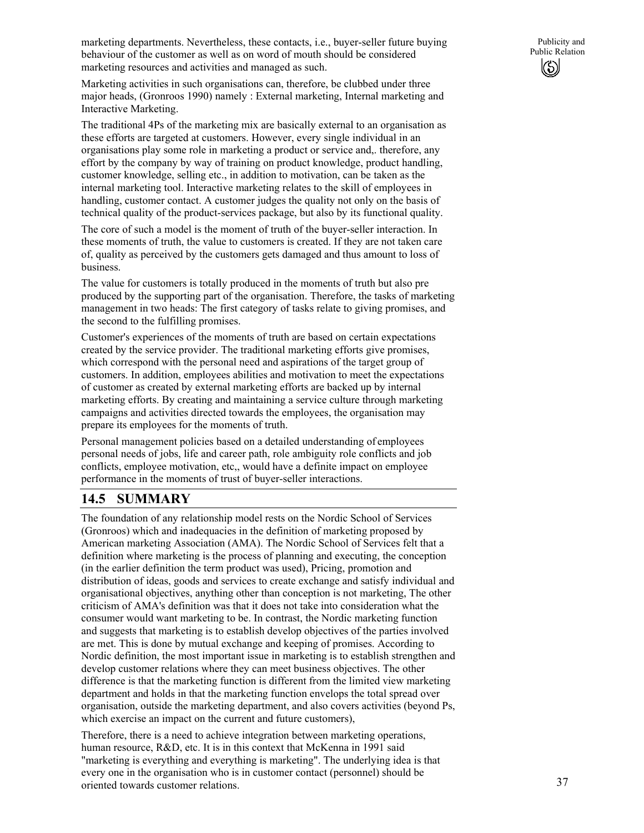Marketing activities in such organisations can, therefore, be clubbed under three major heads, (Gronroos 1990) namely : External marketing, Internal marketing and Interactive Marketing.

The traditional 4Ps of the marketing mix are basically external to an organisation as these efforts are targeted at customers. However, every single individual in an organisations play some role in marketing a product or service and,. therefore, any effort by the company by way of training on product knowledge, product handling, customer knowledge, selling etc., in addition to motivation, can be taken as the internal marketing tool. Interactive marketing relates to the skill of employees in handling, customer contact. A customer judges the quality not only on the basis of technical quality of the product-services package, but also by its functional quality.

The core of such a model is the moment of truth of the buyer-seller interaction. In these moments of truth, the value to customers is created. If they are not taken care of, quality as perceived by the customers gets damaged and thus amount to loss of business.

The value for customers is totally produced in the moments of truth but also pre produced by the supporting part of the organisation. Therefore, the tasks of marketing management in two heads: The first category of tasks relate to giving promises, and the second to the fulfilling promises.

Customer's experiences of the moments of truth are based on certain expectations created by the service provider. The traditional marketing efforts give promises, which correspond with the personal need and aspirations of the target group of customers. In addition, employees abilities and motivation to meet the expectations of customer as created by external marketing efforts are backed up by internal marketing efforts. By creating and maintaining a service culture through marketing campaigns and activities directed towards the employees, the organisation may prepare its employees for the moments of truth.

Personal management policies based on a detailed understanding of employees personal needs of jobs, life and career path, role ambiguity role conflicts and job conflicts, employee motivation, etc,, would have a definite impact on employee performance in the moments of trust of buyer-seller interactions.

## **14.5 SUMMARY**

The foundation of any relationship model rests on the Nordic School of Services (Gronroos) which and inadequacies in the definition of marketing proposed by American marketing Association (AMA). The Nordic School of Services felt that a definition where marketing is the process of planning and executing, the conception (in the earlier definition the term product was used), Pricing, promotion and distribution of ideas, goods and services to create exchange and satisfy individual and organisational objectives, anything other than conception is not marketing, The other criticism of AMA's definition was that it does not take into consideration what the consumer would want marketing to be. In contrast, the Nordic marketing function and suggests that marketing is to establish develop objectives of the parties involved are met. This is done by mutual exchange and keeping of promises. According to Nordic definition, the most important issue in marketing is to establish strengthen and develop customer relations where they can meet business objectives. The other difference is that the marketing function is different from the limited view marketing department and holds in that the marketing function envelops the total spread over organisation, outside the marketing department, and also covers activities (beyond Ps, which exercise an impact on the current and future customers).

Therefore, there is a need to achieve integration between marketing operations, human resource, R&D, etc. It is in this context that McKenna in 1991 said "marketing is everything and everything is marketing". The underlying idea is that every one in the organisation who is in customer contact (personnel) should be oriented towards customer relations.